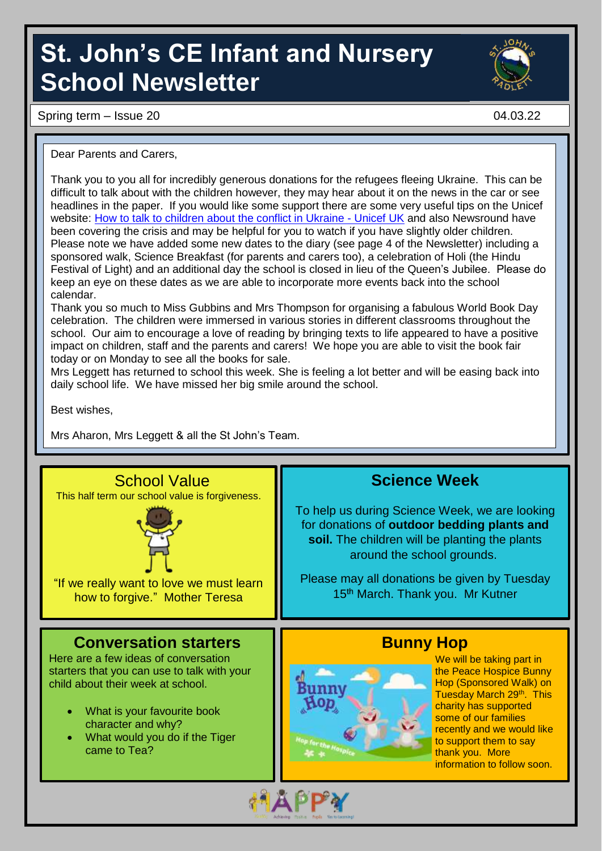# **St. John's CE Infant and Nursery School Newsletter**

Spring term – Issue 20 04.03.22

Dear Parents and Carers,

Thank you to you all for incredibly generous donations for the refugees fleeing Ukraine. This can be difficult to talk about with the children however, they may hear about it on the news in the car or see headlines in the paper. If you would like some support there are some very useful tips on the Unicef website: [How to talk to children about the conflict in Ukraine -](https://www.unicef.org.uk/what-we-do/emergencies/how-to-talk-to-children-about-the-conflict-in-ukraine/) Unicef UK and also Newsround have been covering the crisis and may be helpful for you to watch if you have slightly older children. Please note we have added some new dates to the diary (see page 4 of the Newsletter) including a sponsored walk, Science Breakfast (for parents and carers too), a celebration of Holi (the Hindu Festival of Light) and an additional day the school is closed in lieu of the Queen's Jubilee. Please do keep an eye on these dates as we are able to incorporate more events back into the school calendar.

Thank you so much to Miss Gubbins and Mrs Thompson for organising a fabulous World Book Day celebration. The children were immersed in various stories in different classrooms throughout the school. Our aim to encourage a love of reading by bringing texts to life appeared to have a positive impact on children, staff and the parents and carers! We hope you are able to visit the book fair today or on Monday to see all the books for sale.

Mrs Leggett has returned to school this week. She is feeling a lot better and will be easing back into daily school life. We have missed her big smile around the school.

Best wishes,

Mrs Aharon, Mrs Leggett & all the St John's Team.

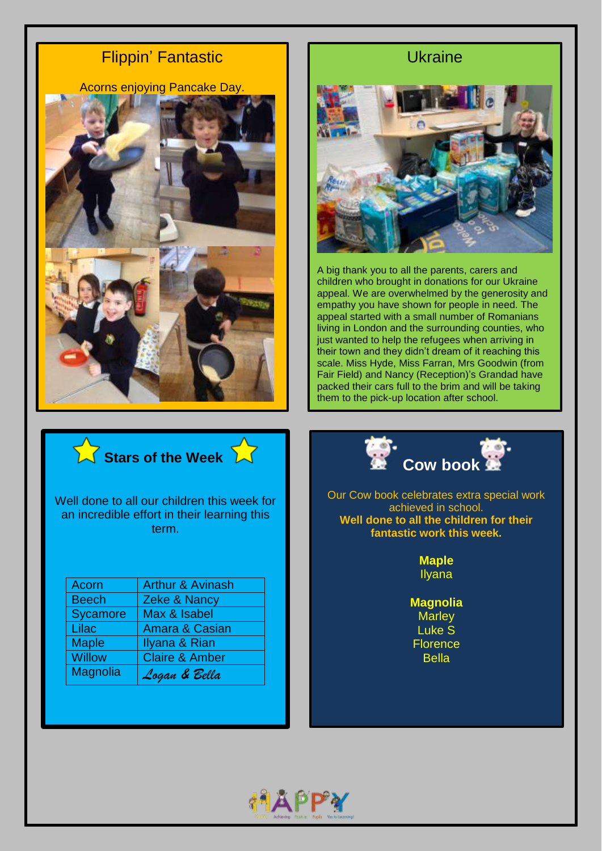### Flippin' Fantastic

Acorns enjoying Pancake Day.



#### Ukraine



A big thank you to all the parents, carers and children who brought in donations for our Ukraine appeal. We are overwhelmed by the generosity and empathy you have shown for people in need. The appeal started with a small number of Romanians living in London and the surrounding counties, who just wanted to help the refugees when arriving in their town and they didn't dream of it reaching this scale. Miss Hyde, Miss Farran, Mrs Goodwin (from Fair Field) and Nancy (Reception)'s Grandad have packed their cars full to the brim and will be taking them to the pick-up location after school.



Well done to all our children this week for an incredible effort in their learning this term.

| Acorn           | <b>Arthur &amp; Avinash</b> |
|-----------------|-----------------------------|
| <b>Beech</b>    | Zeke & Nancy                |
| Sycamore        | Max & Isabel                |
| Lilac           | <b>Amara &amp; Casian</b>   |
| <b>Maple</b>    | Ilyana & Rian               |
| <b>Willow</b>   | <b>Claire &amp; Amber</b>   |
| <b>Magnolia</b> | Logan & Bella               |



Our Cow book celebrates extra special work achieved in school. **Well done to all the children for their fantastic work this week.**

> **Maple** Ilyana

**Magnolia Marley** Luke S **Florence** Bella

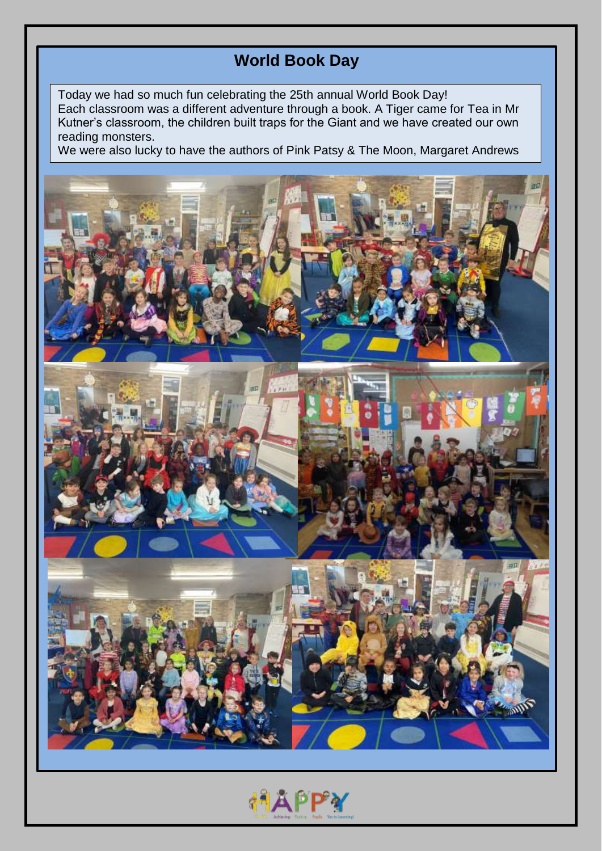## **World Book Day**

Today we had so much fun celebrating the 25th annual World Book Day! Each classroom was a different adventure through a book. A Tiger came for Tea in Mr Kutner's classroom, the children built traps for the Giant and we have created our own reading monsters.

We were also lucky to have the authors of Pink Patsy & The Moon, Margaret Andrews



**AAPPY**